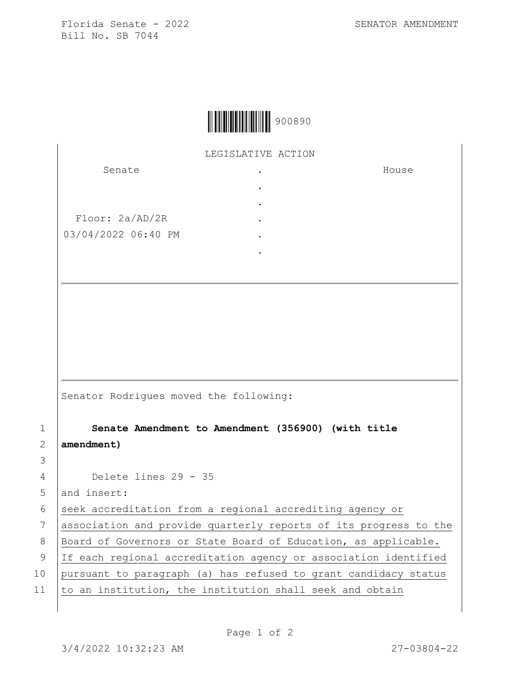Florida Senate - 2022 SENATOR AMENDMENT Bill No. SB 7044

House



LEGISLATIVE ACTION

. . . . . .

Senate

Floor: 2a/AD/2R 03/04/2022 06:40 PM

Senator Rodrigues moved the following:

1 **Senate Amendment to Amendment (356900) (with title**  2 **amendment)**

4 Delete lines 29 - 35

5 and insert:

3

6 seek accreditation from a regional accrediting agency or

7 association and provide quarterly reports of its progress to the

8 | Board of Governors or State Board of Education, as applicable.

9 If each regional accreditation agency or association identified

10 pursuant to paragraph (a) has refused to grant candidacy status

11  $\vert$  to an institution, the institution shall seek and obtain